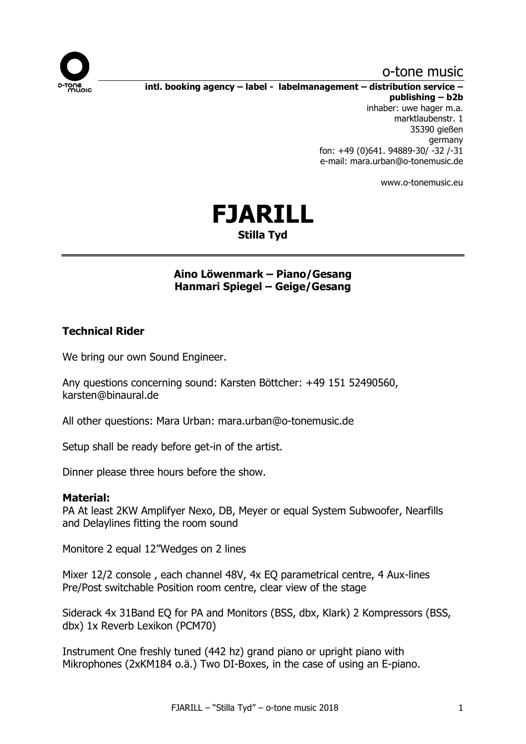

## o-tone music

**intl. booking agency – label - labelmanagement – distribution service – publishing – b2b** inhaber: uwe hager m.a.

marktlaubenstr. 1 35390 gießen germany fon: +49 (0)641. 94889-30/ -32 /-31 e-mail: mara.urban@o-tonemusic.de

www.o-tonemusic.eu

# **FJARILL Stilla Tyd**

## **Aino Löwenmark – Piano/Gesang Hanmari Spiegel – Geige/Gesang**

## **Technical Rider**

We bring our own Sound Engineer.

Any questions concerning sound: Karsten Böttcher: +49 151 52490560, karsten@binaural.de

All other questions: Mara Urban: mara.urban@o-tonemusic.de

Setup shall be ready before get-in of the artist.

Dinner please three hours before the show.

#### **Material:**

PA At least 2KW Amplifyer Nexo, DB, Meyer or equal System Subwoofer, Nearfills and Delaylines fitting the room sound

Monitore 2 equal 12"Wedges on 2 lines

Mixer 12/2 console , each channel 48V, 4x EQ parametrical centre, 4 Aux-lines Pre/Post switchable Position room centre, clear view of the stage

Siderack 4x 31Band EQ for PA and Monitors (BSS, dbx, Klark) 2 Kompressors (BSS, dbx) 1x Reverb Lexikon (PCM70)

Instrument One freshly tuned (442 hz) grand piano or upright piano with Mikrophones (2xKM184 o.ä.) Two DI-Boxes, in the case of using an E-piano.